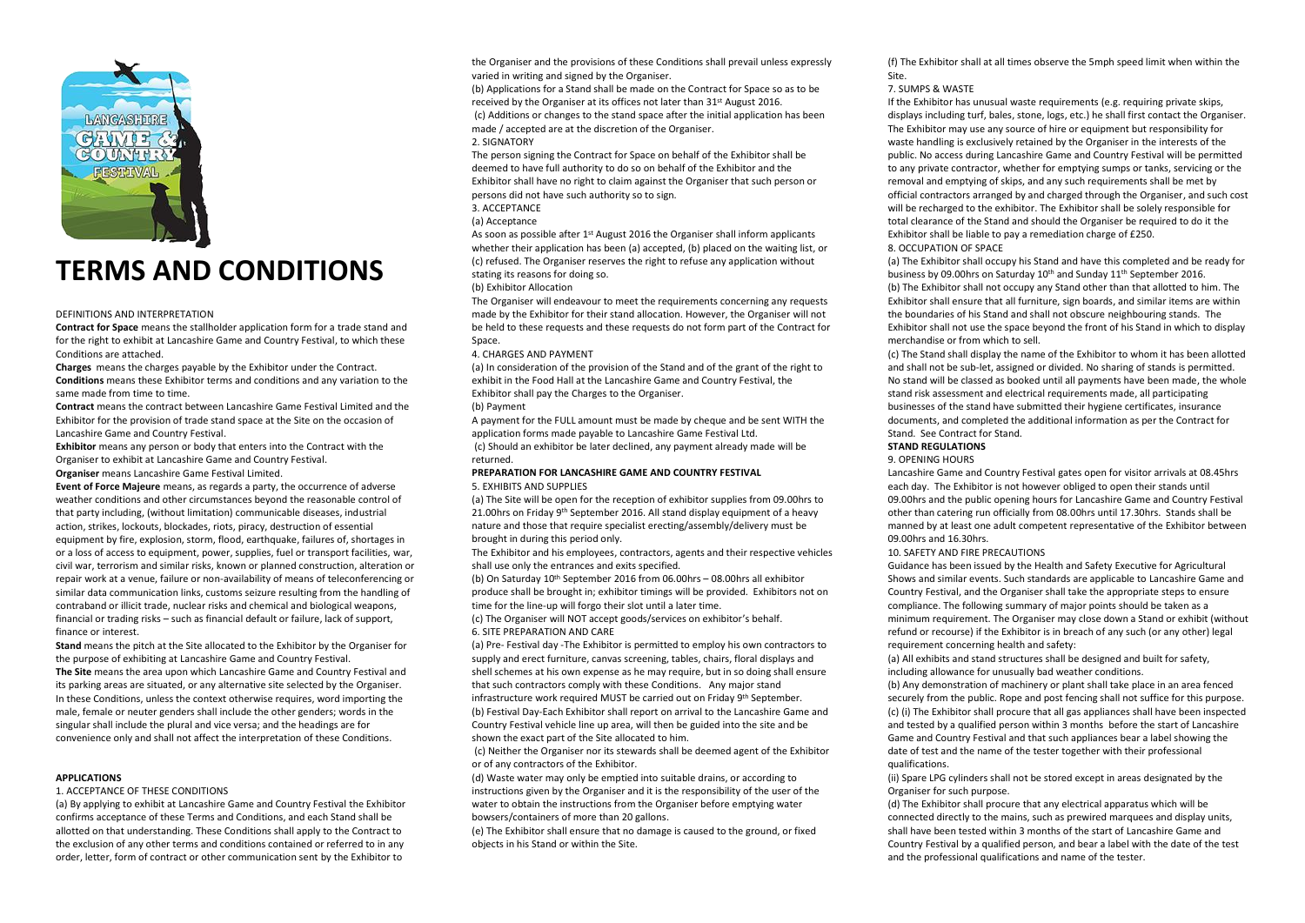

# **TERMS AND CONDITIONS**

#### DEFINITIONS AND INTERPRETATION

**Contract for Space** means the stallholder application form for a trade stand and for the right to exhibit at Lancashire Game and Country Festival, to which these Conditions are attached.

**Charges** means the charges payable by the Exhibitor under the Contract.

**Conditions** means these Exhibitor terms and conditions and any variation to the same made from time to time.

**Contract** means the contract between Lancashire Game Festival Limited and the Exhibitor for the provision of trade stand space at the Site on the occasion of Lancashire Game and Country Festival.

**Exhibitor** means any person or body that enters into the Contract with the Organiser to exhibit at Lancashire Game and Country Festival. **Organiser** means Lancashire Game Festival Limited.

**Event of Force Majeure** means, as regards a party, the occurrence of adverse weather conditions and other circumstances beyond the reasonable control of that party including, (without limitation) communicable diseases, industrial action, strikes, lockouts, blockades, riots, piracy, destruction of essential equipment by fire, explosion, storm, flood, earthquake, failures of, shortages in or a loss of access to equipment, power, supplies, fuel or transport facilities, war, civil war, terrorism and similar risks, known or planned construction, alteration or repair work at a venue, failure or non-availability of means of teleconferencing or similar data communication links, customs seizure resulting from the handling of contraband or illicit trade, nuclear risks and chemical and biological weapons, financial or trading risks – such as financial default or failure, lack of support, finance or interest.

**Stand** means the pitch at the Site allocated to the Exhibitor by the Organiser for the purpose of exhibiting at Lancashire Game and Country Festival. **The Site** means the area upon which Lancashire Game and Country Festival and

its parking areas are situated, or any alternative site selected by the Organiser. In these Conditions, unless the context otherwise requires, word importing the male, female or neuter genders shall include the other genders; words in the singular shall include the plural and vice versa; and the headings are for convenience only and shall not affect the interpretation of these Conditions.

#### **APPLICATIONS**

#### 1. ACCEPTANCE OF THESE CONDITIONS

(a) By applying to exhibit at Lancashire Game and Country Festival the Exhibitor confirms acceptance of these Terms and Conditions, and each Stand shall be allotted on that understanding. These Conditions shall apply to the Contract to the exclusion of any other terms and conditions contained or referred to in any order, letter, form of contract or other communication sent by the Exhibitor to

the Organiser and the provisions of these Conditions shall prevail unless expressly varied in writing and signed by the Organiser.

(b) Applications for a Stand shall be made on the Contract for Space so as to be received by the Organiser at its offices not later than 31st August 2016. (c) Additions or changes to the stand space after the initial application has been made / accepted are at the discretion of the Organiser. 2. SIGNATORY

The person signing the Contract for Space on behalf of the Exhibitor shall be deemed to have full authority to do so on behalf of the Exhibitor and the Exhibitor shall have no right to claim against the Organiser that such person or persons did not have such authority so to sign.

# 3. ACCEPTANCE

# (a) Acceptance

As soon as possible after 1<sup>st</sup> August 2016 the Organiser shall inform applicants whether their application has been (a) accepted, (b) placed on the waiting list, or (c) refused. The Organiser reserves the right to refuse any application without stating its reasons for doing so.

## (b) Exhibitor Allocation

The Organiser will endeavour to meet the requirements concerning any requests made by the Exhibitor for their stand allocation. However, the Organiser will not be held to these requests and these requests do not form part of the Contract for Space

#### 4. CHARGES AND PAYMENT

(a) In consideration of the provision of the Stand and of the grant of the right to exhibit in the Food Hall at the Lancashire Game and Country Festival, the Exhibitor shall pay the Charges to the Organiser.

#### (b) Payment

A payment for the FULL amount must be made by cheque and be sent WITH the application forms made payable to Lancashire Game Festival Ltd.

(c) Should an exhibitor be later declined, any payment already made will be returned.

#### **PREPARATION FOR LANCASHIRE GAME AND COUNTRY FESTIVAL** 5. EXHIBITS AND SUPPLIES

(a) The Site will be open for the reception of exhibitor supplies from 09.00hrs to 21.00hrs on Friday 9<sup>th</sup> September 2016. All stand display equipment of a heavy nature and those that require specialist erecting/assembly/delivery must be brought in during this period only.

The Exhibitor and his employees, contractors, agents and their respective vehicles shall use only the entrances and exits specified.

(b) On Saturday 10<sup>th</sup> September 2016 from 06.00hrs – 08.00hrs all exhibitor produce shall be brought in; exhibitor timings will be provided. Exhibitors not on time for the line-up will forgo their slot until a later time.

(c) The Organiser will NOT accept goods/services on exhibitor's behalf. 6. SITE PREPARATION AND CARE

(a) Pre- Festival day -The Exhibitor is permitted to employ his own contractors to supply and erect furniture, canvas screening, tables, chairs, floral displays and shell schemes at his own expense as he may require, but in so doing shall ensure that such contractors comply with these Conditions. Any major stand infrastructure work required MUST be carried out on Friday 9<sup>th</sup> September. (b) Festival Day-Each Exhibitor shall report on arrival to the Lancashire Game and Country Festival vehicle line up area, will then be guided into the site and be shown the exact part of the Site allocated to him.

(c) Neither the Organiser nor its stewards shall be deemed agent of the Exhibitor or of any contractors of the Exhibitor.

(d) Waste water may only be emptied into suitable drains, or according to instructions given by the Organiser and it is the responsibility of the user of the water to obtain the instructions from the Organiser before emptying water bowsers/containers of more than 20 gallons.

(e) The Exhibitor shall ensure that no damage is caused to the ground, or fixed objects in his Stand or within the Site.

(f) The Exhibitor shall at all times observe the 5mph speed limit when within the Site.

#### 7. SUMPS & WASTE

If the Exhibitor has unusual waste requirements (e.g. requiring private skips, displays including turf, bales, stone, logs, etc.) he shall first contact the Organiser. The Exhibitor may use any source of hire or equipment but responsibility for waste handling is exclusively retained by the Organiser in the interests of the public. No access during Lancashire Game and Country Festival will be permitted to any private contractor, whether for emptying sumps or tanks, servicing or the removal and emptying of skips, and any such requirements shall be met by official contractors arranged by and charged through the Organiser, and such cost will be recharged to the exhibitor. The Exhibitor shall be solely responsible for total clearance of the Stand and should the Organiser be required to do it the Exhibitor shall be liable to pay a remediation charge of £250. 8. OCCUPATION OF SPACE

(a) The Exhibitor shall occupy his Stand and have this completed and be ready for business by 09.00hrs on Saturday 10th and Sunday 11th September 2016. (b) The Exhibitor shall not occupy any Stand other than that allotted to him. The Exhibitor shall ensure that all furniture, sign boards, and similar items are within the boundaries of his Stand and shall not obscure neighbouring stands. The Exhibitor shall not use the space beyond the front of his Stand in which to display merchandise or from which to sell.

(c) The Stand shall display the name of the Exhibitor to whom it has been allotted and shall not be sub-let, assigned or divided. No sharing of stands is permitted. No stand will be classed as booked until all payments have been made, the whole stand risk assessment and electrical requirements made, all participating businesses of the stand have submitted their hygiene certificates, insurance documents, and completed the additional information as per the Contract for Stand. See Contract for Stand.

# **STAND REGULATIONS**

#### 9. OPENING HOURS

Lancashire Game and Country Festival gates open for visitor arrivals at 08.45hrs each day. The Exhibitor is not however obliged to open their stands until 09.00hrs and the public opening hours for Lancashire Game and Country Festival other than catering run officially from 08.00hrs until 17.30hrs. Stands shall be manned by at least one adult competent representative of the Exhibitor between 09.00hrs and 16.30hrs.

#### 10. SAFETY AND FIRE PRECAUTIONS

Guidance has been issued by the Health and Safety Executive for Agricultural Shows and similar events. Such standards are applicable to Lancashire Game and Country Festival, and the Organiser shall take the appropriate steps to ensure compliance. The following summary of major points should be taken as a minimum requirement. The Organiser may close down a Stand or exhibit (without refund or recourse) if the Exhibitor is in breach of any such (or any other) legal requirement concerning health and safety:

(a) All exhibits and stand structures shall be designed and built for safety, including allowance for unusually bad weather conditions.

(b) Any demonstration of machinery or plant shall take place in an area fenced securely from the public. Rope and post fencing shall not suffice for this purpose. (c) (i) The Exhibitor shall procure that all gas appliances shall have been inspected and tested by a qualified person within 3 months before the start of Lancashire Game and Country Festival and that such appliances bear a label showing the date of test and the name of the tester together with their professional qualifications.

(ii) Spare LPG cylinders shall not be stored except in areas designated by the Organiser for such purpose.

(d) The Exhibitor shall procure that any electrical apparatus which will be connected directly to the mains, such as prewired marquees and display units, shall have been tested within 3 months of the start of Lancashire Game and Country Festival by a qualified person, and bear a label with the date of the test and the professional qualifications and name of the tester.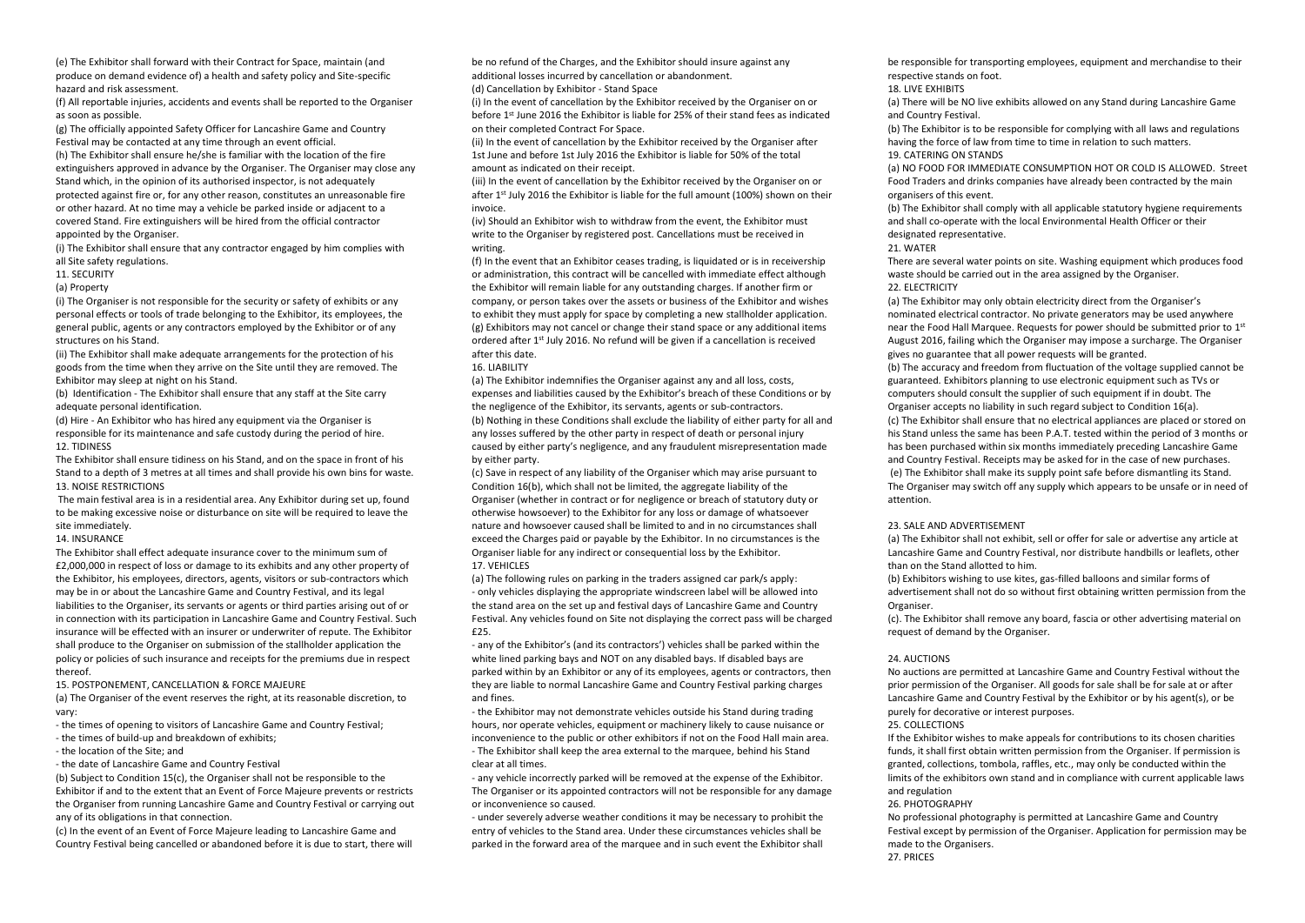(e) The Exhibitor shall forward with their Contract for Space, maintain (and produce on demand evidence of) a health and safety policy and Site-specific hazard and risk assessment.

(f) All reportable injuries, accidents and events shall be reported to the Organiser as soon as possible.

(g) The officially appointed Safety Officer for Lancashire Game and Country Festival may be contacted at any time through an event official.

(h) The Exhibitor shall ensure he/she is familiar with the location of the fire extinguishers approved in advance by the Organiser. The Organiser may close any Stand which, in the opinion of its authorised inspector, is not adequately protected against fire or, for any other reason, constitutes an unreasonable fire or other hazard. At no time may a vehicle be parked inside or adjacent to a covered Stand. Fire extinguishers will be hired from the official contractor appointed by the Organiser.

(i) The Exhibitor shall ensure that any contractor engaged by him complies with all Site safety regulations.

#### 11. SECURITY

(a) Property

(i) The Organiser is not responsible for the security or safety of exhibits or any personal effects or tools of trade belonging to the Exhibitor, its employees, the general public, agents or any contractors employed by the Exhibitor or of any structures on his Stand.

(ii) The Exhibitor shall make adequate arrangements for the protection of his goods from the time when they arrive on the Site until they are removed. The Exhibitor may sleep at night on his Stand.

(b) Identification - The Exhibitor shall ensure that any staff at the Site carry adequate personal identification.

(d) Hire - An Exhibitor who has hired any equipment via the Organiser is responsible for its maintenance and safe custody during the period of hire. 12. TIDINESS

The Exhibitor shall ensure tidiness on his Stand, and on the space in front of his Stand to a depth of 3 metres at all times and shall provide his own bins for waste. 13. NOISE RESTRICTIONS

The main festival area is in a residential area. Any Exhibitor during set up, found to be making excessive noise or disturbance on site will be required to leave the site immediately.

# 14. INSURANCE

The Exhibitor shall effect adequate insurance cover to the minimum sum of £2,000,000 in respect of loss or damage to its exhibits and any other property of the Exhibitor, his employees, directors, agents, visitors or sub-contractors which may be in or about the Lancashire Game and Country Festival, and its legal liabilities to the Organiser, its servants or agents or third parties arising out of or in connection with its participation in Lancashire Game and Country Festival. Such insurance will be effected with an insurer or underwriter of repute. The Exhibitor shall produce to the Organiser on submission of the stallholder application the policy or policies of such insurance and receipts for the premiums due in respect thereof.

15. POSTPONEMENT, CANCELLATION & FORCE MAJEURE

(a) The Organiser of the event reserves the right, at its reasonable discretion, to vary:

- the times of opening to visitors of Lancashire Game and Country Festival; - the times of build-up and breakdown of exhibits;

- the location of the Site; and

- the date of Lancashire Game and Country Festival

(b) Subject to Condition 15(c), the Organiser shall not be responsible to the Exhibitor if and to the extent that an Event of Force Majeure prevents or restricts the Organiser from running Lancashire Game and Country Festival or carrying out any of its obligations in that connection.

(c) In the event of an Event of Force Majeure leading to Lancashire Game and Country Festival being cancelled or abandoned before it is due to start, there will be no refund of the Charges, and the Exhibitor should insure against any additional losses incurred by cancellation or abandonment.

(d) Cancellation by Exhibitor - Stand Space

(i) In the event of cancellation by the Exhibitor received by the Organiser on or before 1st June 2016 the Exhibitor is liable for 25% of their stand fees as indicated on their completed Contract For Space.

(ii) In the event of cancellation by the Exhibitor received by the Organiser after 1st June and before 1st July 2016 the Exhibitor is liable for 50% of the total amount as indicated on their receipt.

(iii) In the event of cancellation by the Exhibitor received by the Organiser on or after 1<sup>st</sup> July 2016 the Exhibitor is liable for the full amount (100%) shown on their invoice.

(iv) Should an Exhibitor wish to withdraw from the event, the Exhibitor must write to the Organiser by registered post. Cancellations must be received in writing.

(f) In the event that an Exhibitor ceases trading, is liquidated or is in receivership or administration, this contract will be cancelled with immediate effect although the Exhibitor will remain liable for any outstanding charges. If another firm or company, or person takes over the assets or business of the Exhibitor and wishes to exhibit they must apply for space by completing a new stallholder application. (g) Exhibitors may not cancel or change their stand space or any additional items ordered after 1st July 2016. No refund will be given if a cancellation is received after this date.

#### 16. LIABILITY

(a) The Exhibitor indemnifies the Organiser against any and all loss, costs, expenses and liabilities caused by the Exhibitor's breach of these Conditions or by the negligence of the Exhibitor, its servants, agents or sub-contractors. (b) Nothing in these Conditions shall exclude the liability of either party for all and any losses suffered by the other party in respect of death or personal injury caused by either party's negligence, and any fraudulent misrepresentation made by either party.

(c) Save in respect of any liability of the Organiser which may arise pursuant to Condition 16(b), which shall not be limited, the aggregate liability of the Organiser (whether in contract or for negligence or breach of statutory duty or otherwise howsoever) to the Exhibitor for any loss or damage of whatsoever nature and howsoever caused shall be limited to and in no circumstances shall exceed the Charges paid or payable by the Exhibitor. In no circumstances is the Organiser liable for any indirect or consequential loss by the Exhibitor. 17. VEHICLES

(a) The following rules on parking in the traders assigned car park/s apply: - only vehicles displaying the appropriate windscreen label will be allowed into the stand area on the set up and festival days of Lancashire Game and Country Festival. Any vehicles found on Site not displaying the correct pass will be charged £25.

- any of the Exhibitor's (and its contractors') vehicles shall be parked within the white lined parking bays and NOT on any disabled bays. If disabled bays are parked within by an Exhibitor or any of its employees, agents or contractors, then they are liable to normal Lancashire Game and Country Festival parking charges and fines.

- the Exhibitor may not demonstrate vehicles outside his Stand during trading hours, nor operate vehicles, equipment or machinery likely to cause nuisance or inconvenience to the public or other exhibitors if not on the Food Hall main area. - The Exhibitor shall keep the area external to the marquee, behind his Stand clear at all times.

- any vehicle incorrectly parked will be removed at the expense of the Exhibitor. The Organiser or its appointed contractors will not be responsible for any damage or inconvenience so caused.

- under severely adverse weather conditions it may be necessary to prohibit the entry of vehicles to the Stand area. Under these circumstances vehicles shall be parked in the forward area of the marquee and in such event the Exhibitor shall

be responsible for transporting employees, equipment and merchandise to their respective stands on foot.

18. LIVE EXHIBITS

(a) There will be NO live exhibits allowed on any Stand during Lancashire Game and Country Festival.

(b) The Exhibitor is to be responsible for complying with all laws and regulations having the force of law from time to time in relation to such matters. 19. CATERING ON STANDS

(a) NO FOOD FOR IMMEDIATE CONSUMPTION HOT OR COLD IS ALLOWED. Street Food Traders and drinks companies have already been contracted by the main organisers of this event.

(b) The Exhibitor shall comply with all applicable statutory hygiene requirements and shall co-operate with the local Environmental Health Officer or their designated representative.

#### 21. WATER

There are several water points on site. Washing equipment which produces food waste should be carried out in the area assigned by the Organiser. 22. ELECTRICITY

(a) The Exhibitor may only obtain electricity direct from the Organiser's nominated electrical contractor. No private generators may be used anywhere near the Food Hall Marquee. Requests for power should be submitted prior to 1 st August 2016, failing which the Organiser may impose a surcharge. The Organiser gives no guarantee that all power requests will be granted. (b) The accuracy and freedom from fluctuation of the voltage supplied cannot be guaranteed. Exhibitors planning to use electronic equipment such as TVs or computers should consult the supplier of such equipment if in doubt. The Organiser accepts no liability in such regard subject to Condition 16(a). (c) The Exhibitor shall ensure that no electrical appliances are placed or stored on his Stand unless the same has been P.A.T. tested within the period of 3 months or has been purchased within six months immediately preceding Lancashire Game and Country Festival. Receipts may be asked for in the case of new purchases. (e) The Exhibitor shall make its supply point safe before dismantling its Stand. The Organiser may switch off any supply which appears to be unsafe or in need of attention.

#### 23. SALE AND ADVERTISEMENT

(a) The Exhibitor shall not exhibit, sell or offer for sale or advertise any article at Lancashire Game and Country Festival, nor distribute handbills or leaflets, other than on the Stand allotted to him.

(b) Exhibitors wishing to use kites, gas-filled balloons and similar forms of advertisement shall not do so without first obtaining written permission from the Organiser.

(c). The Exhibitor shall remove any board, fascia or other advertising material on request of demand by the Organiser.

#### 24. AUCTIONS

No auctions are permitted at Lancashire Game and Country Festival without the prior permission of the Organiser. All goods for sale shall be for sale at or after Lancashire Game and Country Festival by the Exhibitor or by his agent(s), or be purely for decorative or interest purposes.

# 25. COLLECTIONS

If the Exhibitor wishes to make appeals for contributions to its chosen charities funds, it shall first obtain written permission from the Organiser. If permission is granted, collections, tombola, raffles, etc., may only be conducted within the limits of the exhibitors own stand and in compliance with current applicable laws and regulation

# 26. PHOTOGRAPHY

No professional photography is permitted at Lancashire Game and Country Festival except by permission of the Organiser. Application for permission may be made to the Organisers. 27. PRICES